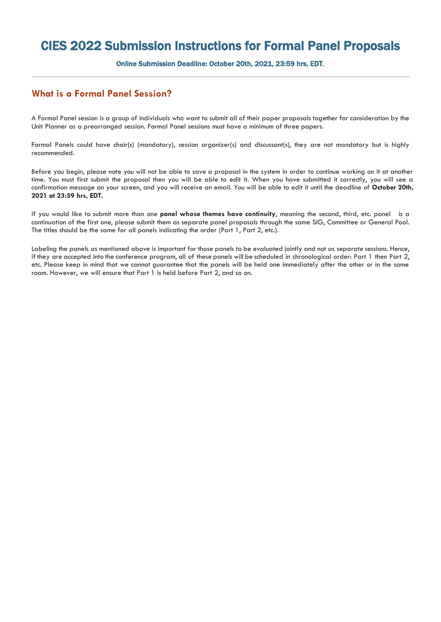## CIES 2022 Submission Instructions for Formal Panel Proposals

Online Submission Deadline: October 20th, 2021, 23:59 hrs, EDT.

## **What is a Formal Panel Session?**

A Formal Panel session is a group of individuals who want to submit all of their paper proposals together for consideration by the Unit Planner as a prearranged session. Formal Panel sessions must have a minimum of three papers.

Formal Panels could have chair(s) (mandatory), session organizer(s) and discussant(s), they are not mandatory but is highly recommended.

Before you begin, please note you will not be able to save a proposal in the system in order to continue working on it at another time. You must first submit the proposal then you will be able to edit it. When you have submitted it correctly, you will see a confirmation message on your screen, and you will receive an email. You will be able to edit it until the deadline of **October 20th, 2021 at 23:59 hrs, EDT.**

If you would like to submit more than one **panel whose themes have continuity**, meaning the second, third, etc. panel is a continuation of the first one, please submit them as separate panel proposals through the same SIG, Committee or General Pool. The titles should be the same for all panels indicating the order (Part 1, Part 2, etc.).

Labeling the panels as mentioned above is important for those panels to be evaluated jointly and not as separate sessions. Hence, if they are accepted into the conference program, all of these panels will be scheduled in chronological order: Part 1 then Part 2, etc. Please keep in mind that we cannot guarantee that the panels will be held one immediately after the other or in the same room. However, we will ensure that Part 1 is held before Part 2, and so on.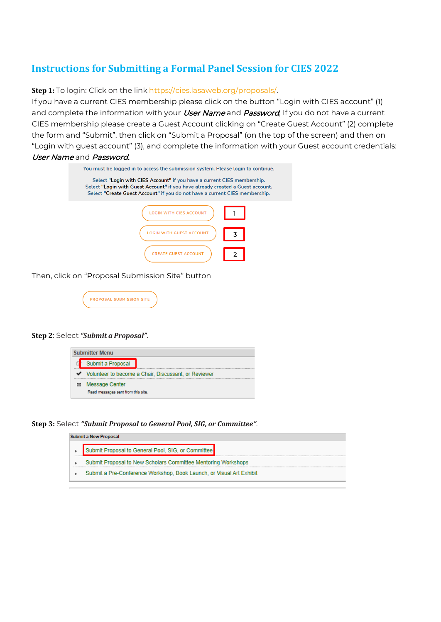## **Instructions for Submitting a Formal Panel Session for CIES 2022**

**Step 1:** To login: Click on the link [https://cies.lasaweb.org/proposals/.](https://cies.lasaweb.org/proposals/)

If you have a current CIES membership please click on the button "Login with CIES account" (1) and complete the information with your *User Name* and *Password*, If you do not have a current CIES membership please create a Guest Account clicking on "Create Guest Account" (2) complete the form and "Submit", then click on "Submit a Proposal" (on the top of the screen) and then on "Login with guest account" (3), and complete the information with your Guest account credentials: User Name and Password.

| You must be logged in to access the submission system. Please login to continue.                                                                                                                                                         |
|------------------------------------------------------------------------------------------------------------------------------------------------------------------------------------------------------------------------------------------|
| Select "Login with CIES Account" if you have a current CIES membership.<br>Select "Login with Guest Account" if you have already created a Guest account.<br>Select "Create Guest Account" if you do not have a current CIES membership. |
| TH CIES ACCOUNT                                                                                                                                                                                                                          |
| TH GUEST ACCOUNT                                                                                                                                                                                                                         |
| <b>REATE GUEST ACCOUNT:</b>                                                                                                                                                                                                              |

Then, click on "Proposal Submission Site" button



## **Step 2**: Select *"Submit a Proposal"*.



**Step 3:** Select *"Submit Proposal to General Pool, SIG, or Committee"*.

| Submit a New Proposal                                                |
|----------------------------------------------------------------------|
| <br>Submit Proposal to General Pool, SIG, or Committee               |
| Submit Proposal to New Scholars Committee Mentoring Workshops        |
| Submit a Pre-Conference Workshop, Book Launch, or Visual Art Exhibit |
|                                                                      |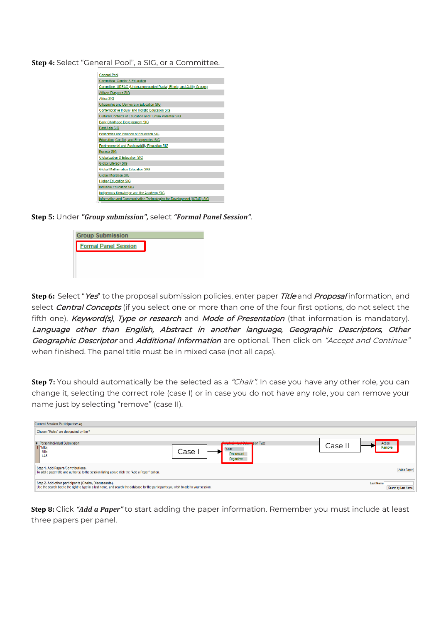**Step 4:** Select "General Pool", a SIG, or a Committee.

| <b>General Pool</b>                                                     |  |
|-------------------------------------------------------------------------|--|
| <b>Committee: Gender &amp; Education</b>                                |  |
| Committee: UREAG (Under-represented Racial, Ethnic, and Ability Groups) |  |
| African Diaspora SIG                                                    |  |
| Africa SIG                                                              |  |
| <b>Citizenship and Democratic Education SIG</b>                         |  |
| Contemplative Inquiry and Holistic Education SIG                        |  |
| <b>Cultural Contexts of Education and Human Potential SIG</b>           |  |
| <b>Early Childhood Development SIG</b>                                  |  |
| <b>East Asia SIG</b>                                                    |  |
| <b>Economics and Finance of Education SIG</b>                           |  |
| Education, Conflict, and Emergencies SIG                                |  |
| <b>Environmental and Sustainability Education SIG</b>                   |  |
| <b>Eurasia SIG</b>                                                      |  |
| Globalization & Education SIG                                           |  |
| <b>Global Literacy SIG</b>                                              |  |
| <b>Global Mathematics Education SIG</b>                                 |  |
| <b>Global Migration SIG</b>                                             |  |
| <b>Higher Education SIG</b>                                             |  |
| <b>Inclusive Education SIG</b>                                          |  |
| Indigenous Knowledge and the Academy SIG                                |  |
| Information and Communication Technologies for Development (ICT4D) SIG  |  |

**Step 5:** Under *"Group submission",* select *"Formal Panel Session"*.



**Step 6:** Select "Yes" to the proposal submission policies, enter paper Title and Proposal information, and select *Central Concepts* (if you select one or more than one of the four first options, do not select the fifth one), Keyword(s), Type or research and Mode of Presentation (that information is mandatory). Language other than English, Abstract in another language, Geographic Descriptors, Other Geographic Descriptor and Additional Information are optional. Then click on "Accept and Continue" when finished. The panel title must be in mixed case (not all caps).

**Step 7:** You should automatically be the selected as a "Chair". In case you have any other role, you can change it, selecting the correct role (case I) or in case you do not have any role, you can remove your name just by selecting "remove" (case II).

| <b>Current Session Participants:: Akj</b>                                                                                                                                                      |                                                                                                        |                                         |
|------------------------------------------------------------------------------------------------------------------------------------------------------------------------------------------------|--------------------------------------------------------------------------------------------------------|-----------------------------------------|
| Chosen "Roles" are designated by the *                                                                                                                                                         |                                                                                                        |                                         |
| # Person/Individual Submission<br>1 Milar<br>Mila<br>LAS                                                                                                                                       | <b>Relatindividual Cubmig</b> sion Type<br>Case II<br>*Chair<br>Case<br><b>Discussant</b><br>Organizer | Action<br>Remove                        |
| Step 1. Add Papers/Contributions.<br>To add a paper title and author(s) to the session listing above click the "Add a Paper" button.                                                           |                                                                                                        | Add a Paper                             |
| Step 2. Add other participants (Chairs, Discussants).<br>Use the search box to the right to type in a last name, and search the database for the participants you wish to add to your session. |                                                                                                        | <b>Last Name</b><br>Search by Last Name |

**Step 8:** Click *"Add a Paper"* to start adding the paper information. Remember you must include at least three papers per panel.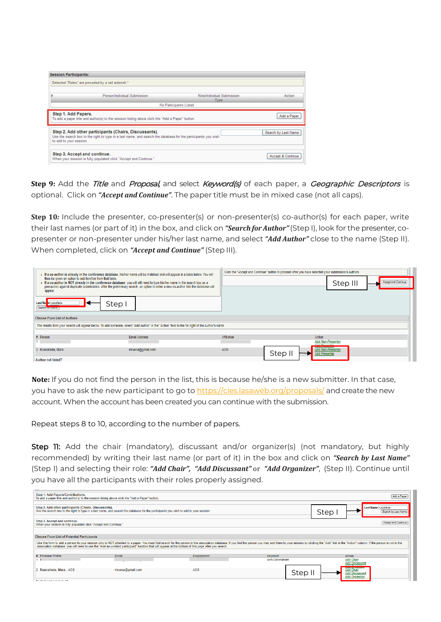| <b>Session Participants:</b> |                                                                                                                                                                        |                                    |                     |
|------------------------------|------------------------------------------------------------------------------------------------------------------------------------------------------------------------|------------------------------------|---------------------|
|                              | Selected "Roles" are preceded by a red asterisk *                                                                                                                      |                                    |                     |
| #                            | Person/Individual Submission                                                                                                                                           | Role/Individual Submission<br>Type | Action              |
|                              |                                                                                                                                                                        | No Participants Listed             |                     |
| Step 1. Add Papers.          | To add a paper title and author(s) to the session listing above click the "Add a Paper" button.                                                                        |                                    | Add a Paper         |
| to add to your session.      | Step 2. Add other participants (Chairs, Discussants).<br>Use the search box to the right to type in a last name, and search the database for the participants you wish |                                    | Search by Last Name |
|                              | Step 3. Accept and continue.<br>When your session is fully populated click "Accept and Continue."                                                                      |                                    | Accept & Continue   |

**Step 9:** Add the Title and Proposal, and select Keyword(s) of each paper, a Geographic Descriptors is optional. Click on *"Accept and Continue"*. The paper title must be in mixed case (not all caps).

**Step 10***:* Include the presenter, co-presenter(s) or non-presenter(s) co-author(s) for each paper, write their last names (or part of it) in the box, and click on *"Search for Author"*(Step I), look for the presenter, copresenter or non-presenter under his/her last name, and select *"Add Author"* close to the name (Step II). When completed, click on *"Accept and Continue"* (Step III).

| then be given an option to add him/her from that table. | F a co-author is already in the conference database, his/her name will be matched and will appear in a table below. You will                                                                                                                                   |             | Click the "Accept and Continue" button to proceed after you have selected your submission's Authors. |                          |                            |
|---------------------------------------------------------|----------------------------------------------------------------------------------------------------------------------------------------------------------------------------------------------------------------------------------------------------------------|-------------|------------------------------------------------------------------------------------------------------|--------------------------|----------------------------|
| appear.                                                 | If a co-author is NOT already in the conference database, you will still need to type his/her name in the search box as a<br>precaution against duplicate submissions. After the preliminary search, an option to enter a new co-author into the database will |             |                                                                                                      | Step III                 | <b>Accept and Continue</b> |
| Last Nar e ruscalleda<br>Search for <b>Author</b>       | Step I                                                                                                                                                                                                                                                         |             |                                                                                                      |                          |                            |
| <b>Choose From List of Authors</b>                      |                                                                                                                                                                                                                                                                |             |                                                                                                      |                          |                            |
|                                                         | The results from your search will appear below. To add someone, select "Add Author" in the "Action" field to the far right of the Author's name.                                                                                                               |             |                                                                                                      |                          |                            |
|                                                         | <b>Email Address</b>                                                                                                                                                                                                                                           |             | Action                                                                                               |                          |                            |
| # Person                                                |                                                                                                                                                                                                                                                                | Affiliation | Add Despander                                                                                        | <b>Add Non-Presenter</b> |                            |
| 2 Ruscalleda, Mara                                      | mrusca@gmail.com                                                                                                                                                                                                                                               | AOS         | Step II<br><b>Add Presenter</b>                                                                      | Add Non-Presenter        |                            |
| <b>Author not listed?</b>                               |                                                                                                                                                                                                                                                                |             |                                                                                                      |                          |                            |

**Note:** If you do not find the person in the list, this is because he/she is a new submitter. In that case, you have to ask the new participant to go to [https://cies.lasaweb.org/proposals/](https://cies.lasaweb.org/proposals/,) and create the new account. When the account has been created you can continue with the submission.

Repeat steps 8 to 10, according to the number of papers.

Step 11: Add the chair (mandatory), discussant and/or organizer(s) (not mandatory, but highly recommended) by writing their last name (or part of it) in the box and click on *"Search by Last Name"*  (Step I) and selecting their role: *"Add Chair", "Add Discussant"* or *"Add Organizer"*, (Step II). Continue until you have all the participants with their roles properly assigned.

| Step 1. Add Papers/Contributions.<br>Add a Paper<br>To add a paper title and author(s) to the session listing above click the "Add a Paper" button.<br>Step 2. Add other participants (Chairs, Discussants).<br>Last Name ruscalleda<br>Use the search box to the right to type in a last name, and search the database for the participants you wish to add to your session.<br>Step<br>Search by Last Name |
|--------------------------------------------------------------------------------------------------------------------------------------------------------------------------------------------------------------------------------------------------------------------------------------------------------------------------------------------------------------------------------------------------------------|
|                                                                                                                                                                                                                                                                                                                                                                                                              |
|                                                                                                                                                                                                                                                                                                                                                                                                              |
|                                                                                                                                                                                                                                                                                                                                                                                                              |
|                                                                                                                                                                                                                                                                                                                                                                                                              |
| Step 3. Accept and continue.<br><b>Accept and Continue</b><br>When your session is fully populated click "Accept and Continue."                                                                                                                                                                                                                                                                              |
|                                                                                                                                                                                                                                                                                                                                                                                                              |
| <b>Choose From List of Potential Participants</b>                                                                                                                                                                                                                                                                                                                                                            |
| Use this form to add a person to your session who is NOT attached to a paper. You must first search for the person in the association database. If you find the person you may add them to your session by clicking the "Add"<br>association database, you will need to use the "Add an unlisted participant" function that will appear at the bottom of this page after you search.                         |
|                                                                                                                                                                                                                                                                                                                                                                                                              |
| # Personal Profile<br>Email<br>Employment<br>Action<br>Keyword                                                                                                                                                                                                                                                                                                                                               |
| Anti-Colonialism<br><b>Add Chair</b>                                                                                                                                                                                                                                                                                                                                                                         |
| <b>Add Discussant</b>                                                                                                                                                                                                                                                                                                                                                                                        |
| <b>Add Chair</b><br>Ruscalleda, Mara - AOS<br>mrusca@gmail.com<br>AOS<br>$\overline{2}$<br>Step II<br><b>Add Discussant</b><br><b>Add Organizer</b>                                                                                                                                                                                                                                                          |